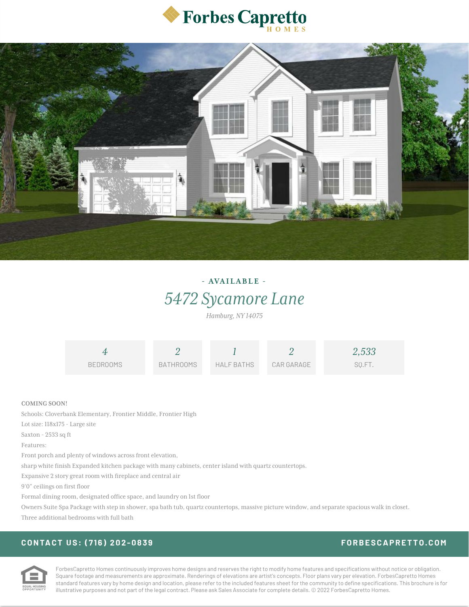



# **- AVAI LABL E -** *5472 Sycamore Lane*

*Hamburg, NY 14075*

|                     | 4               |                  |                   |            | 2,533  |
|---------------------|-----------------|------------------|-------------------|------------|--------|
|                     | <b>BEDROOMS</b> | <b>BATHROOMS</b> | <b>HALF BATHS</b> | CAR GARAGE | SQ.FT. |
|                     |                 |                  |                   |            |        |
| <b>COMING SOON!</b> |                 |                  |                   |            |        |

Schools: Cloverbank Elementary, Frontier Middle, Frontier High

Lot size: 118x175 - Large site

Saxton - 2533 sq ft

Features:

Front porch and plenty of windows across front elevation,

sharp white finish Expanded kitchen package with many cabinets, center island with quartz countertops.

Expansive 2 story great room with fireplace and central air

9'0" ceilings on first floor

Formal dining room, designated office space, and laundry on 1st floor

Owners Suite Spa Package with step in shower, spa bath tub, quartz countertops, massive picture window, and separate spacious walk in closet. Three additional bedrooms with full bath

## **CONTACT US : ( 7 1 6 ) 2 [0](tel:7162020839) 2 - 0 8 3 9 FORBE [SCAPRE](https://media.forbescapretto.com/) T TO.CO M**



ForbesCapretto Homes continuously improves home designs and reserves the right to modify home features and specifications without notice or obligation. Square footage and measurements are approximate. Renderings of elevations are artist's concepts. Floor plans vary per elevation. ForbesCapretto Homes standard features vary by home design and location, please refer to the included features sheet for the community to define specifications. This brochure is for illustrative purposes and not part of the legal contract. Please ask Sales Associate for complete details. © 2022 ForbesCapretto Homes.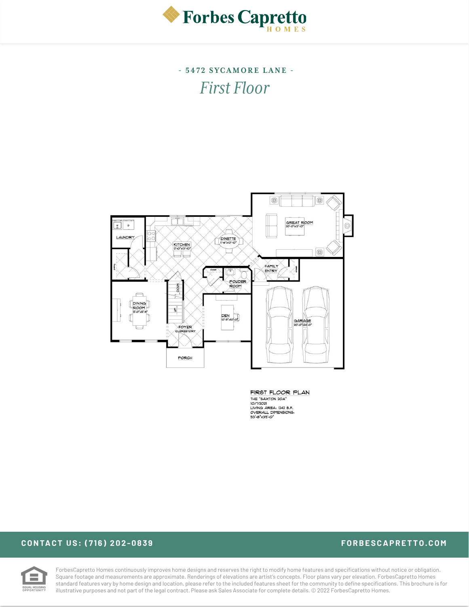

**- 5 4 7 2 SYCA M ORE LANE -** *First Floor*



FIRST FLOOR PLAN THE "SAXTON 204"<br>IO/1/2021<br>LIVING AREA: 1242 S.F. DIVING AREA: 1242 S.P.<br>OVERALL DIMENSIONS:<br>53'-8"x39'-0"

### **CONTACT US : ( 7 1 6 ) 2 [0](tel:7162020839) 2 - 0 8 3 9 FORBE [SCAPRE](https://media.forbescapretto.com/) T TO.CO M**



ForbesCapretto Homes continuously improves home designs and reserves the right to modify home features and specifications without notice or obligation. Square footage and measurements are approximate. Renderings of elevations are artist's concepts. Floor plans vary per elevation. ForbesCapretto Homes standard features vary by home design and location, please refer to the included features sheet for the community to define specifications. This brochure is for illustrative purposes and not part of the legal contract. Please ask Sales Associate for complete details. © 2022 ForbesCapretto Homes.